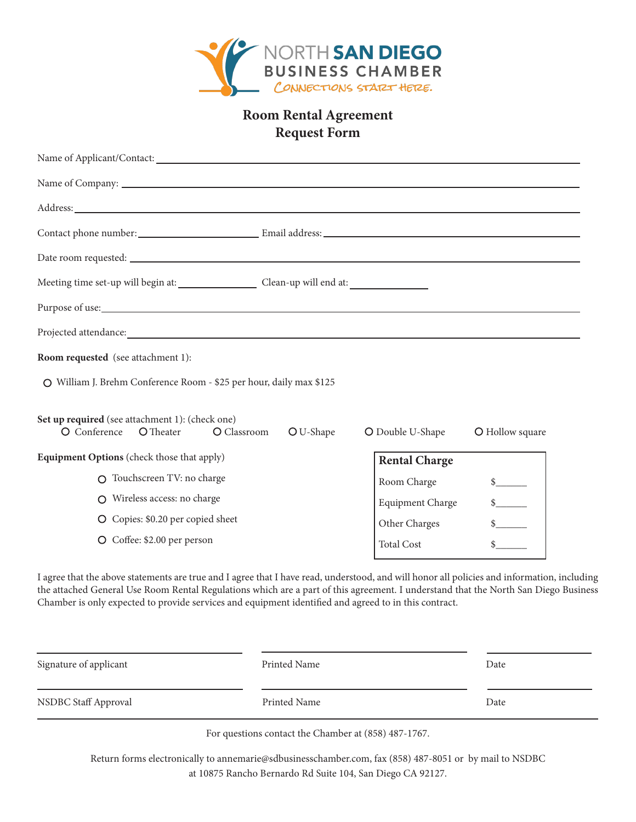

# **Room Rental Agreement Request Form**

| Purpose of use: <u>the contract of the contract of the contract of the contract of the contract of the contract of the contract of the contract of the contract of the contract of the contract of the contract of the contract </u> |                         |                 |
|--------------------------------------------------------------------------------------------------------------------------------------------------------------------------------------------------------------------------------------|-------------------------|-----------------|
|                                                                                                                                                                                                                                      |                         |                 |
| <b>Room requested</b> (see attachment 1):                                                                                                                                                                                            |                         |                 |
| O William J. Brehm Conference Room - \$25 per hour, daily max \$125                                                                                                                                                                  |                         |                 |
| Set up required (see attachment 1): (check one)<br>O Classroom<br>O Conference<br>O Theater<br>O U-Shape                                                                                                                             | O Double U-Shape        | O Hollow square |
| Equipment Options (check those that apply)                                                                                                                                                                                           | <b>Rental Charge</b>    |                 |
| O Touchscreen TV: no charge                                                                                                                                                                                                          | Room Charge             | s               |
| O Wireless access: no charge                                                                                                                                                                                                         | <b>Equipment Charge</b> | s               |
| O Copies: \$0.20 per copied sheet                                                                                                                                                                                                    | Other Charges           | s               |
| O Coffee: \$2.00 per person                                                                                                                                                                                                          | <b>Total Cost</b>       |                 |
|                                                                                                                                                                                                                                      |                         |                 |

I agree that the above statements are true and I agree that I have read, understood, and will honor all policies and information, including the attached General Use Room Rental Regulations which are a part of this agreement. I understand that the North San Diego Business Chamber is only expected to provide services and equipment identified and agreed to in this contract.

| Signature of applicant | Printed Name | Date |
|------------------------|--------------|------|
| NSDBC Staff Approval   | Printed Name | Date |
|                        |              |      |

For questions contact the Chamber at (858) 487-1767.

Return forms electronically to annemarie@sdbusinesschamber.com, fax (858) 487-8051 or by mail to NSDBC at 10875 Rancho Bernardo Rd Suite 104, San Diego CA 92127.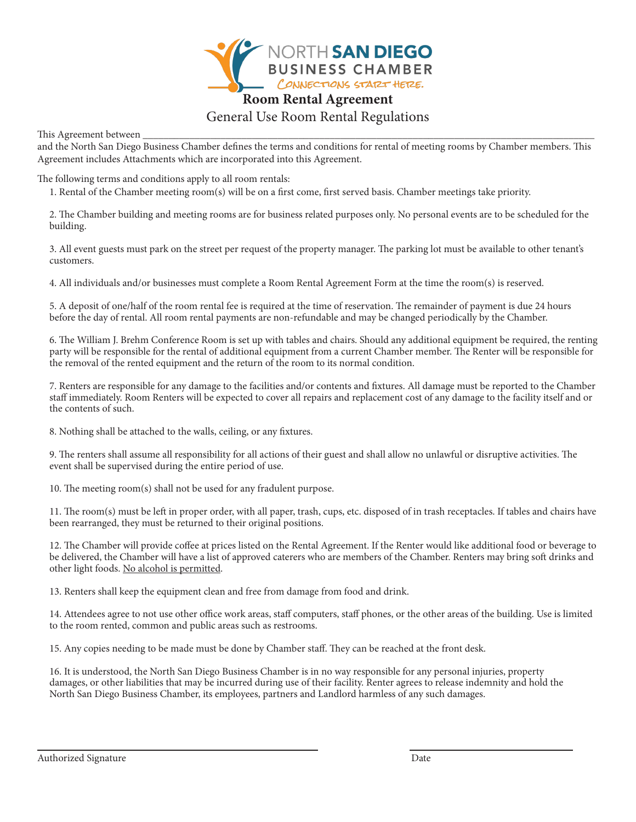

# General Use Room Rental Regulations

This Agreement between \_\_\_\_\_\_\_\_\_\_\_\_\_\_\_\_\_\_\_\_\_\_\_\_\_\_\_\_\_\_\_\_\_\_\_\_\_\_\_\_\_\_\_\_\_\_\_\_\_\_\_\_\_\_\_\_\_\_\_\_\_\_\_\_\_\_\_\_\_\_\_\_\_\_\_\_\_\_\_\_\_\_\_\_\_\_\_

and the North San Diego Business Chamber defines the terms and conditions for rental of meeting rooms by Chamber members. This Agreement includes Attachments which are incorporated into this Agreement.

The following terms and conditions apply to all room rentals:

1. Rental of the Chamber meeting room(s) will be on a first come, first served basis. Chamber meetings take priority.

2. The Chamber building and meeting rooms are for business related purposes only. No personal events are to be scheduled for the building.

3. All event guests must park on the street per request of the property manager. The parking lot must be available to other tenant's customers.

4. All individuals and/or businesses must complete a Room Rental Agreement Form at the time the room(s) is reserved.

5. A deposit of one/half of the room rental fee is required at the time of reservation. The remainder of payment is due 24 hours before the day of rental. All room rental payments are non-refundable and may be changed periodically by the Chamber.

6. The William J. Brehm Conference Room is set up with tables and chairs. Should any additional equipment be required, the renting party will be responsible for the rental of additional equipment from a current Chamber member. The Renter will be responsible for the removal of the rented equipment and the return of the room to its normal condition.

7. Renters are responsible for any damage to the facilities and/or contents and fixtures. All damage must be reported to the Chamber staff immediately. Room Renters will be expected to cover all repairs and replacement cost of any damage to the facility itself and or the contents of such.

8. Nothing shall be attached to the walls, ceiling, or any fixtures.

9. The renters shall assume all responsibility for all actions of their guest and shall allow no unlawful or disruptive activities. The event shall be supervised during the entire period of use.

10. The meeting room(s) shall not be used for any fradulent purpose.

11. The room(s) must be left in proper order, with all paper, trash, cups, etc. disposed of in trash receptacles. If tables and chairs have been rearranged, they must be returned to their original positions.

12. The Chamber will provide coffee at prices listed on the Rental Agreement. If the Renter would like additional food or beverage to be delivered, the Chamber will have a list of approved caterers who are members of the Chamber. Renters may bring soft drinks and other light foods. No alcohol is permitted.

13. Renters shall keep the equipment clean and free from damage from food and drink.

14. Attendees agree to not use other office work areas, staff computers, staff phones, or the other areas of the building. Use is limited to the room rented, common and public areas such as restrooms.

15. Any copies needing to be made must be done by Chamber staff. They can be reached at the front desk.

16. It is understood, the North San Diego Business Chamber is in no way responsible for any personal injuries, property damages, or other liabilities that may be incurred during use of their facility. Renter agrees to release indemnity and hold the North San Diego Business Chamber, its employees, partners and Landlord harmless of any such damages.